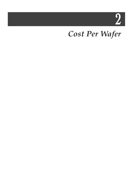2

# *Cost Per Wafer*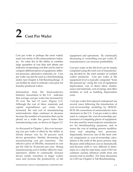# **2 Cost Per Wafer**

Cost per wafer is perhaps the most widely used cost metric in the semiconductor industry. Its value lies in the ability to combine large quantities of cost data and obtain one indicator of operating cost that can be used to compare different pieces of equipment, different processes, alternative materials, etc. Cost per wafer can also be used as a benchmarking metric (see Chapter 4, Fab Benchmarking). It can further be used to estimate a fair price for foundry-produced wafers.

Information from the Semiconductor Industry Association in the U.S. indicates that average cost per wafer has increased by 3X over the last 15 years (Figure 2-1). Although the cost of labor, materials and capital expenditures per wafer have increased, the real cost of manufacturing semiconductor chips continues to decrease because the number of transistors that can be placed on a wafer has grown faster than manufacturing costs, as shown in Figure 2-2.

As discussed in Chapter 1, this ever-increasing cost per wafer is offset by the ability to shrink feature size by 30 percent each device generation, thereby decreasing the manufacturing cost per transistor. The effective price of DRAMs, measured in cost per bit, falls by 30 percent per year. Rising manufacturing cost is further offset by manufacturers' ability to continually increase device yields, transition to larger wafers sizes and increase the productivity of fab

equipment and operations. By continually decreasing or controlling cost per wafer, IC manufacturers can increase profitability.

Cost per wafer at the fab level can be simply computed using the total cost of manufacturing divided by the total number of yielded wafers produced. Cost per wafer at the equipment level is typically computed "from the ground-up" using the cost of equipment depreciation, cost of direct labor, maintenance and materials, cost of energy and other facilities as well as building depreciation costs.

Cost per wafer first enjoyed widespread use several years following the introduction of cost-of-ownership modeling by SEMAT-ECH, the consortium of semiconductor manufacturers in the U.S. Cost per wafer is often used to compare the cost-of-ownership performance of competing pieces of equipment. It is also used by semiconductor manufacturers for benchmarking purposes, and to assess the cost of making process modifications and adopting new processes. Importantly, however, one of the most critical components in cost-of-ownership calculations is the yield of the given process step. Because yield influences cost so dramatically and because yield is very difficult to determine on a step-by-step basis, most COO calculations assume identical yields from one process tool to another. For more discussion on COO see Chapter 4, Fab Benchmarking.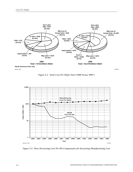

Source: SIA

*Figure 2-1. Total Cost Per Wafer Start (1980 Versus 1995\*)*



*Figure 2-2. How Decreasing Cost Per Bit Compensates for Increasing Manufacturing Cost*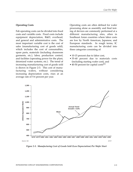#### **Operating Costs**

Fab operating costs can be divided into fixed costs and variable costs. Fixed costs include equipment depreciation, R&D, overhead, and general and administrative costs. The most important variable cost is the cost of sales (manufacturing cost of goods sold), which includes the cost of consumables, spare parts, materials (including cleanroom garments, etc.), labor, production control, and facilities (operating power for the plant, deionized water systems, etc.). The trend of increasing manufacturing cost of goods sold is shown in Figure 2-3. This cost of manufacturing wafers, without considering increasing depreciation costs, rises at an average rate of 5-6 percent per year.

Operating costs are often defined for wafer processing alone as assembly and final testing of devices are commonly performed at a different manufacturing sites, often in Southeast Asian countries where labor costs are low by North American, Japanese, and European standards. In rough terms, IC manufacturing costs can be divided into three categories consisting of:

- 10-15 percent due to labor cost,
- 35-40 percent due to materials costs (including starting wafer cost), and
- 40-50 percent for capital costs<sup>[1]</sup>



*Figure 2-3. Manufacturing Cost of Goods Sold (Less Depreciation) Per Wafer Start*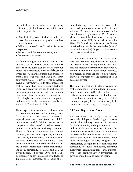Beyond these broad categories, operating costs are typically broken down into four main components:

- Manufacturing cost of devices sold (all costs directly allocated to production, less depreciation),
- Selling, general and administrative expenses,
- Research and development costs, and
- Depreciation expenses.

As shown in Figure 2-1, manufacturing cost of goods sold in 1995 accounted for over 53 percent of the total cost per wafer start for merchant IC producers in the U.S.<sup>[2]</sup> Cost per wafer for IC manufacturers has increased from 1980's level of around \$730 per 150mm equivalent wafer to 1995's level of nearly \$2,400 per 150mm wafer. In other words, the cost per wafer has risen by over a factor of three in a fifteen year period. In addition, the portion of manufacturing costs due to labor expenses has dropped dramatically. Interestingly, the dollar amount companies had to devote to labor was almost exactly the same in 1995 as it was in 1980.

These expenditures can also be viewed relative to annual semiconductor industry sales. In other words, the rates of increase in expenditures for manufacturing, R&D, depreciation, and S, G&A expenses can be compared to the rate of annual increases in overall semiconductor industry revenues. Shown in Figure 2-4 are year-to-year values for R&D, depreciation expenses, manufacturing costs, S, G&A costs, and semiconductor sales, normalized to 1978 values. Long term, depreciation and R&D costs have risen much more dramatically than manufacturing costs, semiconductor sales, and S, G&A expenditures. Between 1978 and 1995, depreciation outlays increased by a factor of 17; R&D costs increased by a factor of 14; manufacturing costs and S, G&A costs increased by almost a factor of 9 each; and sales by U.S.-based merchant semiconductor firms increased by a factor of 12. As can be gleaned from this illustration, during the industry's most difficult period in the mid-1980s, R&D and depreciation expenditures remained high while the sales index (annual semiconductor sales) dipped too low to support these expenditures.

In the most recent expansionary cycle between 1993 and 1996, the focus on increasing expenditures for equipment and new fabs has increased dramatically. However, as shown in Figure 2-5, depreciation expenses as a percent of sales appear to be stabilizing, despite a long-term average increase of 10-15 percent per year.

The following sections briefly discusses the cost components for manufacturing costs, depreciation, and R&D costs. Selling, general and administrative costs will not be covered as these expenditures vary a great deal from one company to the next, and vary little from year to year for a given company.

### **R&D and Depreciation Costs**

As mentioned previously, due to the extremely high pace of technological innovation in this industry, necessary investment for R&D, new fabs, and equipment can be as high as 25-30 percent of sales. In fact, the percentage of sales that must be reinvested for R&D in the semiconductor industry surpasses that needed in nearly every other high technology industry (Figure 2-6). Interestingly enough, the key industries that semiconductors feed—computers, consumer electronics, communications, and automotive—each requires lower investment to develop than the chips that run them.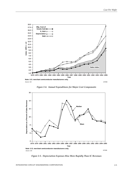

*Figure 2-4. Annual Expenditures for Major Cost Components*



*Figure 2-5. Depreciation Expenses Rise More Rapidly Than IC Revenues*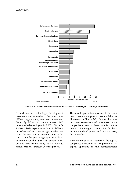

*Figure 2-6. R&D For Semiconductors Exceed Most Other High Technology Industries*

In addition, as technology development becomes more expensive, it becomes more difficult to get a timely return on investment. Generally, IC manufacturers invest 10-15 percent of sales each year in R&D. Figure 2- 7 shows R&D expenditures both in billions of dollars and as a percentage of sales revenues for merchant IC manufacturers in the US. While this percentage appears to have declined over the 1992-1995 period, R&D outlays rose dramatically at an average annual rate of 18 percent over the period.

The most important components in development costs are equipment costs and labor, as illustrated in Figure 2-8. One of the most important strategies used by semiconductor companies to control these costs is the formation of strategic partnerships for both technology development and in some cases, fab ownership.

Also shown back in Chapter 1, the top 10 companies accounted for 55 percent of all capital spending in the semiconductor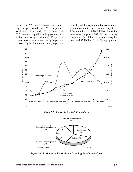industry in 1996, and 83 percent of all spending is performed by 25 companies. Worldwide, SEMI and SEAJ estimate that 63.5 percent of capital spending goes toward wafer processing equipment, 21 percent toward testing equipment, nearly 10 percent to assembly equipment and nearly 6 percent

to facility related equipment (i.e., computers, automation, etc.). These numbers equate to 1996 market sizes of \$26.6 billion for wafer processing equipment, \$8.8 billion for testing equipment, \$4 billion for assembly equipment and \$2.5 billion for facility equipment.



*Figure 2-7. Semiconductor R&D Expenditures*



*Figure 2-8. Breakdown of Semiconductor Technology Development Costs*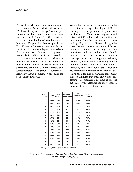Depreciation schedules vary from one country to another. Semiconductor firms in the U.S. have attempted to change 5-year depreciation schedules on semiconductor processing equipment to 3 years to better reflect the rapid rate of technological obsolescence in fabs today. Despite bipartisan support in the U.S. House of Representatives and Senate, the bill to change these depreciation schedules did not pass. However, some progress was made in 1997 as a bill was passed to raise R&D tax credit for basic research from 8 percent to 11 percent. The bill also allows a 6 percent manufacturers investment credit for cleanrooms built by IC manufacturers and semiconductor equipment companies. Figure 2-9 shows depreciation schedules for a fab facility in the U.S.

Within the fab area, the photolithography cell is the most expensive (Figure 2-10), as leading-edge steppers and step-and-scan machines for 0.25um processing are priced between \$5-\$7 million each. In addition, the investment for advanced reticles is rising rapidly (Figure 2-11). Beyond lithography costs, the next most expensive is diffusion processes, followed by etching, thin film deposition, and ion implantation. Trends indicate a long-term increase in number of CVD, sputtering, and etching tools in the fab, principally driven by an increasing number of metal layers in advanced logic devices (currently at 5-6 levels for 64-bit MPUs), and the introduction of chemical mechanical polishing tools for global planarization. Many sources estimate that back-end wafer processing (all processing of films above the substrate level) accounts for more than 50 percent of overall cost per wafer.

| Year in<br><b>Service</b> | Land | Fab<br><b>Building</b> | Cleanroom<br><b>Equipment</b> | Wafer<br>Processing<br><b>Equipment</b> | <b>Office</b><br>and Utility |
|---------------------------|------|------------------------|-------------------------------|-----------------------------------------|------------------------------|
| 1                         | 100% | 98%                    | 89%                           | 67%                                     | 98%                          |
| $\overline{2}$            | 104% | 97%                    | 79%                           | 46%                                     | 94%                          |
| 3                         | 108% | 97%                    | 70%                           | 29%                                     | 90%                          |
| 4                         | 112% | 97%                    | 62%                           | 16%                                     | 86%                          |
| 5                         | 117% | 97%                    | 55%                           | 10%                                     | 82%                          |
| 6                         | 122% | 96%                    | 49%                           | 10%                                     | 79%                          |
| $\overline{7}$            | 127% | 95%                    | 44%                           | 10%                                     | 76%                          |
| 8                         | 132% | 94%                    | 39%                           | 10%                                     | 74%                          |
| 9                         | 137% | 93%                    | 35%                           | 10%                                     | 72%                          |
| 10                        | 142% | 91%                    | 31%                           | 10%                                     | 69%                          |
| 11                        | 148% | 90%                    | 28%                           | 10%                                     | 67%                          |
| 12                        | 154% | 89%                    | 25%                           | 10%                                     | 65%                          |
| 13                        | 160% | 87%                    | 22%                           | 10%                                     | 64%                          |
| 14                        | 167% | 85%                    | 20%                           | 10%                                     | 62%                          |
| 15                        | 173% | 83%                    | 20%                           | 10%                                     | 61%                          |
| 16                        | 180% | 81%                    | 20%                           | 10%                                     | 60%                          |

Source: Oregon Department of Revenue 1994-1995 Electronics Trend and Depreciation Schedules

*Figure 2-9. Depreciation Schedules Projected Appraised Value of Investment as Percentage of Original Cost*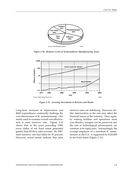

*Figure 2-10. Relative Costs of Semiconductor Manufacturing Areas*



*Figure 2-11. Growing Investment in Reticles and Masks*

Long-term increases in depreciation and R&D expenditures continually challenge the cost-effectiveness of IC manufacturing. One metric used to examine overall cost effectiveness is asset turnover rate. Figure 2-12 shows that in the years preceding 1980, every dollar of net fixed assets generated greater than \$3.00 in sales revenue. By 1987, asset turnover rate had fallen by 50 percent. However, recent trends indicate that asset

turnover rates are stabilizing. However, further deterioration in the rate may affect the financial future of the industry. Once again, by making facilities and operations more cost effective, margins can be preserved and the rate of technological advancement can continue at its rapid pace. Astoundingly, the average employee of a merchant IC manufacturer in the U.S. is supported by \$120,000 in net fixed assets (Figure 2-13).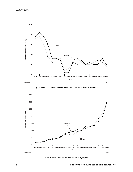

*Figure 2-12. Net Fixed Assets Rise Faster Than Industry Revenues*



*Figure 2-13. Net Fixed Assets Per Employee*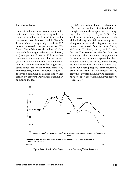#### **The Cost of Labor**

As semiconductor fabs become more automated and reliable, labor costs typically represent a smaller portion of total wafer processing costs. As shown back in Figure 2- 1, total labor costs typically constitute 11.5 percent of overall cost per wafer for U.S. firms. Figure 2-14 shows how the total labor rate (including wages, salaries, payroll taxes, etc.) as a percent of sales for U.S. firms has dropped dramatically over the last several years and the divergence between the mean and median lines indicates that larger firms spend much less on labor than smaller IC manufacturers, which is expected. Figure 2- 15 gives a sampling of salaries and wages earned by different individuals working in or around the fab.

By 1996, labor rate differences between the U.S. and Japan had diminished due to changing standards in Japan and the changing value of the yen (Figure 2-16). The semiconductor industry has become a truly global industry with fabs now emerging in all regions of the world. Regions that have recently attracted fabs include China, Malaysia, Thailand, India, and Eastern Europe. These countries offer the labor cost advantages that Japan once enjoyed over the U.S. It comes as no surprise that these regions, home to many assembly houses, are now being used for wafer processing. Such developing regions offer enormous growth potential, as evidenced in the growth of exports in developing regions relative to export growth in developed regions (Figure 2-17).



**<sup>\*</sup>Includes wages, salaries, retirement expenses, incentive compensation, payroll taxes \*\*North American firms only**

Source: SIA 21072

*Figure 2-14. Total Labor Expenses\* as a Percent of Sales Revenues\*\**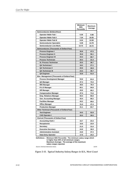|                                                                       | Minimum<br>50th<br><b>Percentile</b> | Maximum<br>Average |  |  |  |
|-----------------------------------------------------------------------|--------------------------------------|--------------------|--|--|--|
| Semiconductor (Dollars/Hour)                                          |                                      |                    |  |  |  |
| <b>Operator Wafer Fab I</b>                                           | 6.30                                 | 9.98               |  |  |  |
|                                                                       | 7.24                                 | 10.55              |  |  |  |
| <b>Operator Wafer Fab II</b>                                          | 8.24                                 | 12.69              |  |  |  |
| <b>Operator Wafer Fab III</b>                                         |                                      |                    |  |  |  |
| <b>Semiconductor Specialist</b>                                       | 9.49                                 | 14.78              |  |  |  |
| Semiconductor Line Mech.                                              | 13.72                                | 19.72              |  |  |  |
| Semiconductor (Thousands of Dollars/Year)                             |                                      |                    |  |  |  |
| <b>Process Engineer I</b>                                             | 30.8                                 | 47.5               |  |  |  |
| <b>Process Engineer II</b>                                            | 35.8                                 | 56.1               |  |  |  |
| <b>Process Engineer III</b>                                           | 44.3                                 | 68.7               |  |  |  |
| <b>Process Technician</b>                                             | 20.3                                 | 31.4               |  |  |  |
| <b>Sr. Process Technician</b>                                         | 25.5                                 | 38.7               |  |  |  |
| <b>QA Technician I</b>                                                | 18.2                                 | 27.1               |  |  |  |
| <b>QA Technician II</b>                                               | 20.6                                 | 30.9               |  |  |  |
| <b>QA Technician III</b>                                              | 24.3                                 | 36.7               |  |  |  |
| <b>QA Engineer</b>                                                    | 33.8                                 | 51.0               |  |  |  |
| Elec. Management (Thousands of Dollars/Year)                          |                                      |                    |  |  |  |
| <b>Process Development Manager</b>                                    | 53.6                                 | 81.6               |  |  |  |
| QA Manager                                                            | 47.4                                 | 74.4               |  |  |  |
| <b>MIS Manager</b>                                                    | 49.6                                 | 78.4               |  |  |  |
| R & D Manager                                                         | 60.1                                 | 94.8               |  |  |  |
| <b>HR Manager</b>                                                     | 43.6                                 | 68.2               |  |  |  |
| <b>Compensation Manager</b>                                           | 47.4                                 | 71.6               |  |  |  |
| <b>Emp. Relations Manager</b>                                         | 50.4                                 | 80.8               |  |  |  |
| <b>Gen. Accounting Manager</b>                                        | 43.4                                 | 68.2               |  |  |  |
| <b>Facilities Manager</b>                                             | 43.2                                 | 68.6               |  |  |  |
| <b>Office Manager</b>                                                 | 31.0                                 | 47.4               |  |  |  |
| <b>Production Manager</b>                                             | 41.1                                 | 64.7               |  |  |  |
| Other Technical (Thousands of Dollars/Year)                           |                                      |                    |  |  |  |
| <b>Test Engineer</b>                                                  | 34.5                                 | 52.8               |  |  |  |
| <b>CAD Operator I</b>                                                 | 20.5                                 | 30.5               |  |  |  |
| <b>Clerical (Thousands of Dollars/Year)</b>                           |                                      |                    |  |  |  |
| <b>Accounting Clerk I</b>                                             | 15.7                                 | 23.4               |  |  |  |
| <b>Receptionist</b>                                                   | 16.6                                 | 23.9               |  |  |  |
| <b>Secretary</b>                                                      | 21.5                                 | 31.6               |  |  |  |
| <b>Executive Secretary</b>                                            | 24.9                                 | 36.9               |  |  |  |
| <b>Administrative Assistant</b>                                       | 24.8                                 | 37.3               |  |  |  |
| <b>Data Entry Operator</b>                                            | 17.0                                 | 24.3               |  |  |  |
| Definitions - Minimum 50th Percentile: The minimum salary range which |                                      |                    |  |  |  |

**is higher than 50% of all minimum ranges. Maximum Average: The average of the maximum**

**salary ranges reported.**

Source: American Electronics Assoc.

21076

*Figure 2-15. Typical Industry Salary Ranges in U.S., West Coast*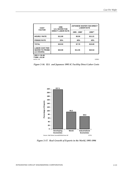| <b>COST</b><br><b>FACTOR</b>                                  | 1996<br><b>U.S. WAFER FAB</b> | <b>JAPANESE WAFER FAB DIRECT</b><br><b>LABOR RATE</b> |         |  |
|---------------------------------------------------------------|-------------------------------|-------------------------------------------------------|---------|--|
|                                                               | <b>DIRECT LABOR RATE</b>      | 1985 - 1986*                                          | 1996**  |  |
| <b>HOURLY RATE</b>                                            | \$11.80                       | \$5.50                                                | \$11.21 |  |
| <b>FRINGE RATE</b>                                            | 35%                           | 40%                                                   | 40%     |  |
| <b>TOTAL</b>                                                  | \$15.93                       | \$7.70                                                | \$15.69 |  |
| <b>LABOR COST PER</b><br><b>WAFER TO PROBE</b><br>(1.5 HOURS) | \$23.90                       | \$11.55                                               | \$23.54 |  |
| $*$ one $v$ and an                                            |                               |                                                       |         |  |

**\* 205 ¥ = \$1.00**

**\*\*108¥ = \$1.00** Source: ICE 12030J

*Figure 2-16. U.S. and Japanese 1995 IC Facility Direct Labor Costs*



*Figure 2-17. Real Growth of Exports in the World, 1995-1996*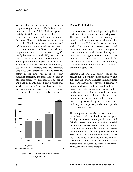Worldwide, the semiconductor industry employs roughly between 750,000 and a million people (Figure 2-18). Of these, approximately 260,000 are employed by North American merchant semiconductor manufacturers. Figure 2-19 shows the cyclical patterns in North American on-shore and off-shore employment levels in response to changing market condition. As shown, employment levels have increased significantly between 1992 and 1995, despite continual advances in labor productivity. In 1995, approximately 70 percent of the North American wages were disbursed to employees in North America, and the off-shore employee earns approximately one-third the salary of the employee based in North America, reflecting the semi-skilled labor at off-shore assembly operations as opposed to the base of highly-skilled and professional workers at North American facilities. This pay differential is narrowing slowly (Figure 2-20) as off-shore wages steadily increase.



*Figure 2-18. Worldwide Semiconductor Employment*

#### **Device Cost Modeling**

Several years ago ICE developed a simplified cost model to examine manufacturing costs. The model estimate a company's gross margin and revenues for a given device based on the ASP for the devices at the time, and a calculation of device factory cost based on design rules, type of device, equipment cost, wafer size used, defect density estimates, etc. Among these assumptions, defect density is the most critical. Through fab benchmarking studies and cost modeling, ICE developed the wafer cost estimates shown in Figure 2-21.

Figures 2-22 and 2-23 show cost model results for a Pentium microprocessor and 16M and 64M DRAM devices in first quarter 1997. As shown, the advanced-generation Pentium device yields a significant gross margin as little competition exists in this marketplace. As the advanced-generation Pentiums mature and are replaced by the Pentium Pro device, Intel will continue to lower the price of this processor more dramatically and improve yields more quickly to preserve margins.

The margins on DRAM devices, however, have dramatically declined in the past year, forcing important changes in the 16M DRAM market and the adoption of 64M technology. At least some DRAM manufacturers are accelerating their transition to 64M production due to the slim profit margins of 16M devices, as illustrated in Figure 2-23. At the same time, manufacturers are rapidly shrinking the die size of 16M devices from typical levels of 80mm2 to as small as 60mm2 to preserve yields and margins.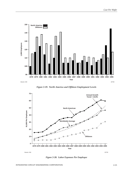

*Figure 2-19. North America and Offshore Employment Levels*



*Figure 2-20. Labor Expenses Per Employee*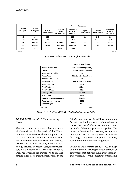| <b>Feature</b><br>Size $(\mu m)$ | Wafer<br>Size (mm) | <b>Process Technology</b>         |                                               |                                       |                              |                                      |                                        |
|----------------------------------|--------------------|-----------------------------------|-----------------------------------------------|---------------------------------------|------------------------------|--------------------------------------|----------------------------------------|
|                                  |                    | <b>CMOS</b><br><b>14-16 Masks</b> | Advanced<br><b>CMOS</b><br><b>18-20 Masks</b> | Advanced<br><b>BICMOS</b><br>22 Masks | <b>Bipolar</b><br>8-10 Masks | <b>Bipolar</b><br><b>14-16 Masks</b> | Advanced<br><b>Bipolar</b><br>22 Masks |
| 1.5                              | 125                | 170                               |                                               | 360                                   | 210                          | 245                                  | 360                                    |
| 1.0                              | 125/150            | $-1310$                           |                                               | $-1575$                               |                              | $270/-$                              | $-I575$                                |
| 0.8                              | 150/200            | $390/-$                           | 600/990                                       | $660/-$                               |                              |                                      | $660/-$                                |
| 0.5                              | 150/200            | $525/-$                           | 700/1,140                                     | 900/1,400                             |                              |                                      | $900/-$                                |
| 0.35                             | 200                |                                   | 1,415                                         | 1,800                                 |                              |                                      |                                        |
| Source: ICE                      |                    |                                   |                                               |                                       |                              |                                      | 20279A                                 |

*Figure 2-21. Whole Wafer Cost Before Probe (\$)*

|                             | BICMOS MPU $(0.35\mu)$                |
|-----------------------------|---------------------------------------|
| <b>Tested Wafer Cost</b>    | \$1,890 (200mm epi wafer)             |
| Die Size                    | 135,000 sq mils (90mm <sup>2</sup> )  |
| <b>Total Dice Available</b> | 292                                   |
| <b>Probe Yield</b>          | 37% (at 1.2 defects/cm <sup>2</sup> ) |
| <b>Number Of Good Dice</b>  | 108                                   |
| <b>Package Cost</b>         | \$25.75 (296-pin CPGA)                |
| <b>Assembly Yield</b>       | 99%                                   |
| <b>Final Test Cost</b>      | \$35.00                               |
| <b>Final Test Yield</b>     | 70%                                   |
| <b>Factory Cost</b>         | \$112.41                              |
| ASP (1,000)                 | \$350                                 |
| Approx. Revenue/Wafer Start | \$26,195                              |
| Revenue/Sq In. Started      | \$542                                 |
| <b>Gross Margin</b>         | 68%                                   |
| Source: ICE                 | 14448G                                |

*Figure 2-22. Pentium (166MHz P54CS) Cost Analysis (3Q96)*

### **DRAM, MPU and ASIC Manufacturing Costs**

The semiconductor industry has traditionally been driven by the needs of the DRAM manufacturers because these companies are the single largest consumers of semiconductor equipment and materials, and because DRAM devices, until recently, were the technology drivers. In recent years, microprocessors have become the technology driver as Intel has speeded its transitions to smaller feature sizes faster than the transitions in the DRAM device sector. In addition, the manufacturing technology using multilevel metalization designs of 5 layers or more is driven by needs of the microprocessor supplier. The industry therefore has two very strong segments, DRAMs and microprocessors, driving the designs of process equipment, facilities, automation and factory management.

DRAM manufacturers produce ICs in high volume, thereby driving the development of equipment that delivers the highest throughput possible, while meeting processing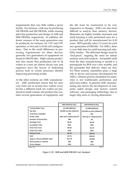requirements that vary little within a given facility. For instance, a fab may be producing 1M DRAMs and 4M DRAMs, while running pilot line production and design of 16M and 64M DRAMs, respectively. In addition, different versions of the same generation may be produced, for instance, for 3.3V and 5.0V operation, or 4x4 and 1x16 bit cell configurations. Due to the small differences in processing requirements for these devices, generally two generations of equipment are found in DRAM fabs. High-volume production also means that production lots of 24 wafers at a time are almost always run, and engineers have the luxury of dedicating process tools to certain processes, thereby improving processing results.

At the other extreme are ASIC manufacturers. ASIC production means that lot sizes vary from one to twenty-four wafers; every lot has a different mask set; wafers are produced in small volume; the product line contains several generations of equipment; and

the fab must be constructed to be very responsive to changes. ASICs are also more difficult to analyze than memory devices. Memories are highly testable structures and yield learning is only performed once for a product that will be manufactured for 8-10 years. ROI typically takes 2-3 years for each new generation of DRAMs. For ASICs, there is very little time for yield learning and reliability studies. The delivered design must be "fool-proof," negating the need for failure analysis and yield analysis. Acceptable yield from the time manufacturing is started is a prerequisite for ROI over a few months, and the guarantee that delivery dates are met. For these reasons, simulation plays a large role in device and process development for ASICs, whereas process simulation for memories is not traditionally performed, and pilot runs suffice. In general, ASIC manufacturing also drives the development of computer aided design and factory control software, and packaging technology, due to larger chip sizes of varying dimensions.

|                                     | 16M DRAM (0.35μ)                      | 64M DRAM (0.35µ)                      |  |  |
|-------------------------------------|---------------------------------------|---------------------------------------|--|--|
| <b>Tested Wafer Cost</b>            | \$1,180 (200mm)                       | \$1,485 (200mm)                       |  |  |
| Die Size                            | 84,000 sq mils (54mm <sup>2</sup> )   | 232,500 sq mils (150mm <sup>2</sup> ) |  |  |
| <b>Total Dice Available</b>         | 476                                   | 162                                   |  |  |
| <b>Probe Yield</b>                  | 80% (at 0.5 defects/cm <sup>2</sup> ) | 40% (at 0.7 defects/cm <sup>2</sup> ) |  |  |
| <b>Number Of Good Dice</b>          | 380                                   | 65                                    |  |  |
| <b>Package Cost</b>                 | \$0.40                                | \$0.50                                |  |  |
| <b>Assembly Yield</b>               | 99%                                   | 99%                                   |  |  |
| <b>Final Test Cost</b>              | \$0.60                                | \$1.20                                |  |  |
| <b>Final Test Yield</b>             | 95%                                   | 85%                                   |  |  |
| <b>Factory Cost</b>                 | \$4.36                                | \$29.15                               |  |  |
| <b>ASP</b>                          | \$7.75                                | \$55.00                               |  |  |
| <b>Approx. Revenue/Wafer Start</b>  | \$2,770                               | \$3,008                               |  |  |
| Revenue/Sq In. Started              | \$55                                  | \$60                                  |  |  |
| <b>Gross Margin</b>                 | 44%                                   | 47%                                   |  |  |
| 16912G<br>S <sub>Ol</sub> irca: ICF |                                       |                                       |  |  |

Source: ICE

*Figure 2-23. 16M and 64M DRAM Cost Analysis*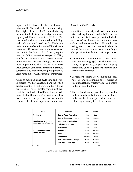Figure 2-24 shows further differences between DRAM and ASIC manufacturing. The high-volume DRAM manufacturing lines suffer little from reconfiguration and capacity additions relative to ASIC fabs. The cost benefits due to automated scheduling, and wafer and mask tracking for ASICs outweigh the same benefits to the DRAM manufacturer. However, too much automation can inhibit flexibility. In addition, equipment reliability, mean time to repair (MTTR), and the importance of being able to quickly make real-time process changes, are much more important to the ASIC manufacturer. Development equipment must be extremely comparable to manufacturing equipment as yield ramp-up for ASICs must be minimized.

As far as manufacturing cycle time and work in process (WIP) are concerned, the fab with a greater number of different products being processed at once (greater variability) will reach higher levels of WIP and longer cycle times, faster (Figure 2-25). Achieving low cycle time in the presence of variability requires either flexible equipment or idle time.

## **Other Key Cost Trends**

In addition to product yield, cycle time, labor costs, and equipment productivity, important components in cost per wafer include the cost of equipment maintenance, test wafers, and consumables. Although discussing every cost components in detail is beyond the scope of this book, some highlights provides insight into their importance:

- Contracted maintenance costs vary between nothing (\$0) for the first two years, to up to \$400,000 per tool per year, depending on the equipment supplier and terms of the contract.
- Equipment installation, including tool hook-up and the running of test wafers to full qualification, typically adds 35 percent to the price of the tool.
- The cost of cleaning gases for single-wafer tools is significantly higher than for batch tools. In-situ cleaning procedures also contribute significantly to tool downtime.

| <b>Issues</b>                   | <b>Measure</b>                    | <b>ASIC</b>   | <b>DRAM</b>   |  |
|---------------------------------|-----------------------------------|---------------|---------------|--|
| <b>Modularity</b>               | <b>Cost of Reconfiguration</b>    | High          | Low           |  |
|                                 | <b>Cost of Capacity Additions</b> | High          | <b>Medium</b> |  |
| <b>Benefits Due to Computer</b> | <b>Automated Downloading</b>      | High          | Low           |  |
| <b>Integrated Manufacturing</b> | <b>Wafer/Mask Tracking</b>        | High          | Low           |  |
|                                 | <b>Scheduling</b>                 | High          | Low           |  |
| <b>Important Equipment</b>      | <b>Reliability</b>                | High          | <b>Medium</b> |  |
| <b>Characteristics</b>          | <b>MTTR</b>                       | High          | <b>Medium</b> |  |
|                                 | <b>Defect Free</b>                | <b>Medium</b> | High          |  |
|                                 | <b>Real Time Process Change</b>   | High          | <b>Medium</b> |  |
|                                 | Dev. Egpt. = Mfg. Egpt.           | High          | <b>Medium</b> |  |
| 19775<br>Source: Motorola       |                                   |               |               |  |

*Figure 2-24. Relative Fab Characteristics*